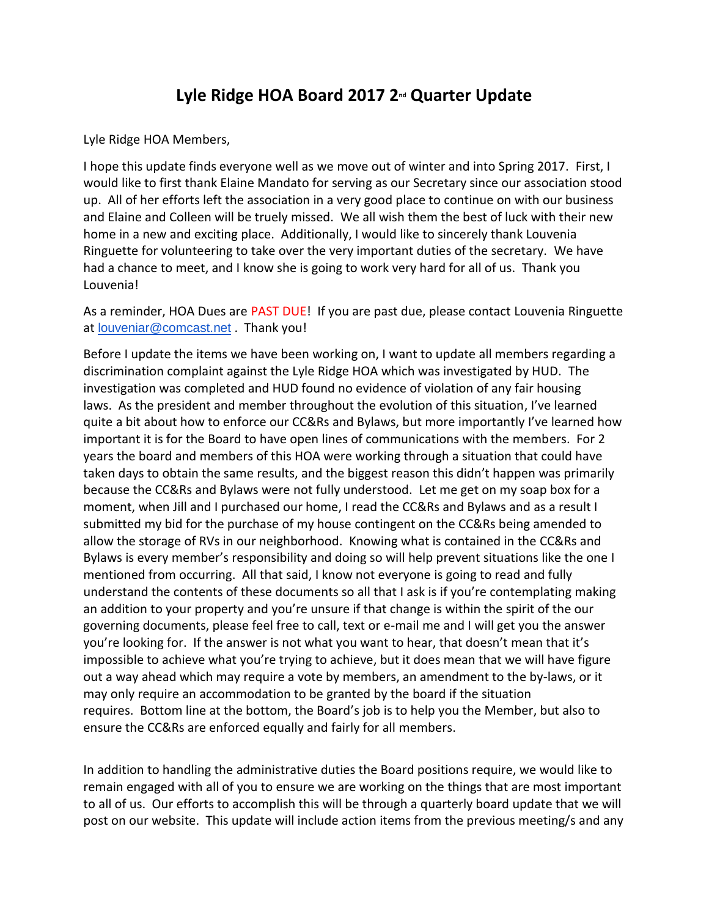## **Lyle Ridge HOA Board 2017 2nd Quarter Update**

Lyle Ridge HOA Members,

I hope this update finds everyone well as we move out of winter and into Spring 2017. First, I would like to first thank Elaine Mandato for serving as our Secretary since our association stood up. All of her efforts left the association in a very good place to continue on with our business and Elaine and Colleen will be truely missed. We all wish them the best of luck with their new home in a new and exciting place. Additionally, I would like to sincerely thank Louvenia Ringuette for volunteering to take over the very important duties of the secretary. We have had a chance to meet, and I know she is going to work very hard for all of us. Thank you Louvenia!

As a reminder, HOA Dues are PAST DUE! If you are past due, please contact Louvenia Ringuette at [louveniar@comcast.net](mailto:louveniar@comcast.net) . Thank you!

Before I update the items we have been working on, I want to update all members regarding a discrimination complaint against the Lyle Ridge HOA which was investigated by HUD. The investigation was completed and HUD found no evidence of violation of any fair housing laws. As the president and member throughout the evolution of this situation, I've learned quite a bit about how to enforce our CC&Rs and Bylaws, but more importantly I've learned how important it is for the Board to have open lines of communications with the members. For 2 years the board and members of this HOA were working through a situation that could have taken days to obtain the same results, and the biggest reason this didn't happen was primarily because the CC&Rs and Bylaws were not fully understood. Let me get on my soap box for a moment, when Jill and I purchased our home, I read the CC&Rs and Bylaws and as a result I submitted my bid for the purchase of my house contingent on the CC&Rs being amended to allow the storage of RVs in our neighborhood. Knowing what is contained in the CC&Rs and Bylaws is every member's responsibility and doing so will help prevent situations like the one I mentioned from occurring. All that said, I know not everyone is going to read and fully understand the contents of these documents so all that I ask is if you're contemplating making an addition to your property and you're unsure if that change is within the spirit of the our governing documents, please feel free to call, text or e-mail me and I will get you the answer you're looking for. If the answer is not what you want to hear, that doesn't mean that it's impossible to achieve what you're trying to achieve, but it does mean that we will have figure out a way ahead which may require a vote by members, an amendment to the by-laws, or it may only require an accommodation to be granted by the board if the situation requires. Bottom line at the bottom, the Board's job is to help you the Member, but also to ensure the CC&Rs are enforced equally and fairly for all members.

In addition to handling the administrative duties the Board positions require, we would like to remain engaged with all of you to ensure we are working on the things that are most important to all of us. Our efforts to accomplish this will be through a quarterly board update that we will post on our website. This update will include action items from the previous meeting/s and any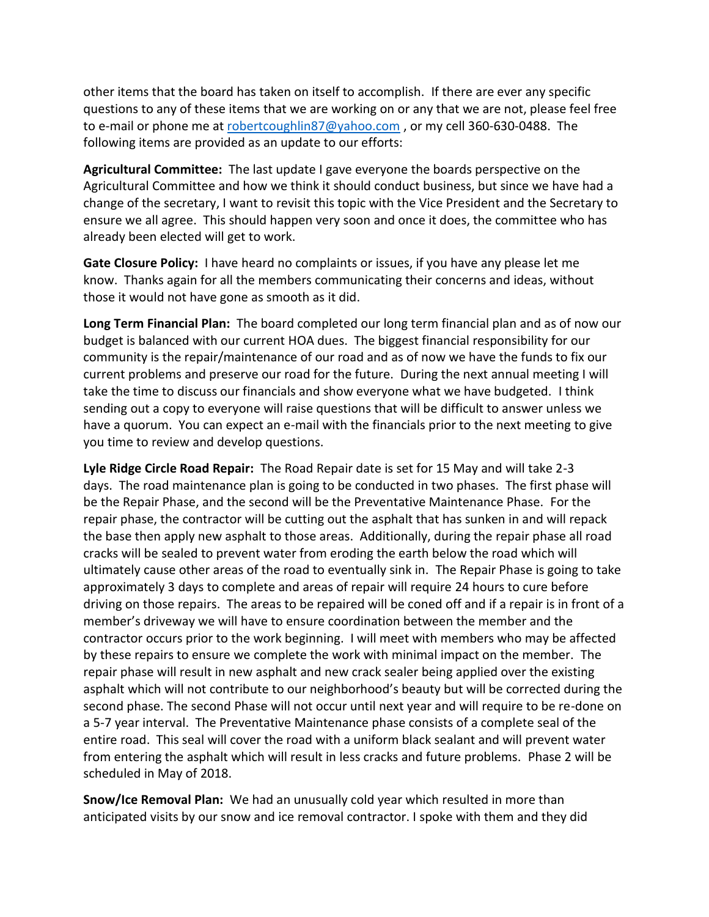other items that the board has taken on itself to accomplish. If there are ever any specific questions to any of these items that we are working on or any that we are not, please feel free to e-mail or phone me at [robertcoughlin87@yahoo.com](mailto:robertcoughlin87@yahoo.com) , or my cell 360-630-0488. The following items are provided as an update to our efforts:

**Agricultural Committee:** The last update I gave everyone the boards perspective on the Agricultural Committee and how we think it should conduct business, but since we have had a change of the secretary, I want to revisit this topic with the Vice President and the Secretary to ensure we all agree. This should happen very soon and once it does, the committee who has already been elected will get to work.

**Gate Closure Policy:** I have heard no complaints or issues, if you have any please let me know. Thanks again for all the members communicating their concerns and ideas, without those it would not have gone as smooth as it did.

**Long Term Financial Plan:** The board completed our long term financial plan and as of now our budget is balanced with our current HOA dues. The biggest financial responsibility for our community is the repair/maintenance of our road and as of now we have the funds to fix our current problems and preserve our road for the future. During the next annual meeting I will take the time to discuss our financials and show everyone what we have budgeted. I think sending out a copy to everyone will raise questions that will be difficult to answer unless we have a quorum. You can expect an e-mail with the financials prior to the next meeting to give you time to review and develop questions.

**Lyle Ridge Circle Road Repair:** The Road Repair date is set for 15 May and will take 2-3 days. The road maintenance plan is going to be conducted in two phases. The first phase will be the Repair Phase, and the second will be the Preventative Maintenance Phase. For the repair phase, the contractor will be cutting out the asphalt that has sunken in and will repack the base then apply new asphalt to those areas. Additionally, during the repair phase all road cracks will be sealed to prevent water from eroding the earth below the road which will ultimately cause other areas of the road to eventually sink in. The Repair Phase is going to take approximately 3 days to complete and areas of repair will require 24 hours to cure before driving on those repairs. The areas to be repaired will be coned off and if a repair is in front of a member's driveway we will have to ensure coordination between the member and the contractor occurs prior to the work beginning. I will meet with members who may be affected by these repairs to ensure we complete the work with minimal impact on the member. The repair phase will result in new asphalt and new crack sealer being applied over the existing asphalt which will not contribute to our neighborhood's beauty but will be corrected during the second phase. The second Phase will not occur until next year and will require to be re-done on a 5-7 year interval. The Preventative Maintenance phase consists of a complete seal of the entire road. This seal will cover the road with a uniform black sealant and will prevent water from entering the asphalt which will result in less cracks and future problems. Phase 2 will be scheduled in May of 2018.

**Snow/Ice Removal Plan:** We had an unusually cold year which resulted in more than anticipated visits by our snow and ice removal contractor. I spoke with them and they did